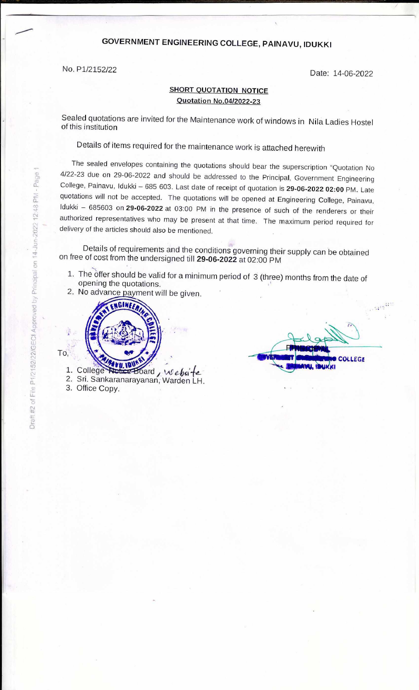## **GOVERNMENT ENGINEERING COLLEGE, PAINAVU, IDUKKI**

No. P1/2152/22 Date: 14-06-2022

## **SHORT QUOTATION NOTICE Quotation No.04/2022-23**

Sealed quotations are invited for the Maintenance work of windows in Nila Ladies Hostel of this institution

Details of items required for the maintenance work is attached herewith

The sealed envelopes containing the quotations should bear the superscription "Quotation No 4/22-23 due on 29-06-2022 and should be addressed to the Principal, Government Engineering College, Painavu, Idukki - 685 603. Last date of receipt of quotation is 29-06-2022 02:00 PM. Late quotations will not be accepted. The quotations will be opened at Engineering College, Painavu, ldukki - 685603 on 29-06-2022 at 03:00 PM in the presence of such of the renderers or their authorized representatives who may be present at that time. The maximum period required for delivery of the articles should also be mentioned.

Details of requirements and the conditions governing their supply can be obtained on free of cost from the undersigned till **29-06-2022** at 02:00 PM

- 1. The offer should be valid for a minimum period of 3 (three) months from the date of opening the quotations.
- 2. No advance payment will be given.



 $\mathcal{A}^{(q^{\xi+1})}$ **OLLEGE** 

1. College Notice Board

2. Sri. Sankaranarayanan, Warden LH. 3. Office Copy.